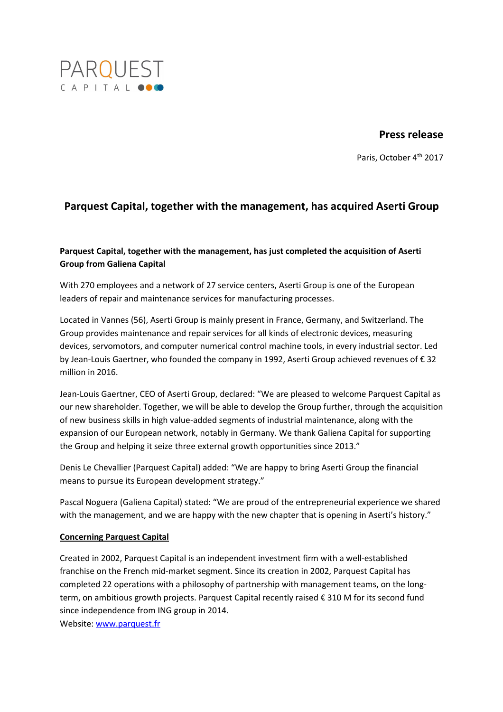

## **Press release**

Paris, October 4<sup>th</sup> 2017

# **Parquest Capital, together with the management, has acquired Aserti Group**

## **Parquest Capital, together with the management, has just completed the acquisition of Aserti Group from Galiena Capital**

With 270 employees and a network of 27 service centers, Aserti Group is one of the European leaders of repair and maintenance services for manufacturing processes.

Located in Vannes (56), Aserti Group is mainly present in France, Germany, and Switzerland. The Group provides maintenance and repair services for all kinds of electronic devices, measuring devices, servomotors, and computer numerical control machine tools, in every industrial sector. Led by Jean-Louis Gaertner, who founded the company in 1992, Aserti Group achieved revenues of € 32 million in 2016.

Jean-Louis Gaertner, CEO of Aserti Group, declared: "We are pleased to welcome Parquest Capital as our new shareholder. Together, we will be able to develop the Group further, through the acquisition of new business skills in high value-added segments of industrial maintenance, along with the expansion of our European network, notably in Germany. We thank Galiena Capital for supporting the Group and helping it seize three external growth opportunities since 2013."

Denis Le Chevallier (Parquest Capital) added: "We are happy to bring Aserti Group the financial means to pursue its European development strategy."

Pascal Noguera (Galiena Capital) stated: "We are proud of the entrepreneurial experience we shared with the management, and we are happy with the new chapter that is opening in Aserti's history."

### **Concerning Parquest Capital**

Created in 2002, Parquest Capital is an independent investment firm with a well-established franchise on the French mid-market segment. Since its creation in 2002, Parquest Capital has completed 22 operations with a philosophy of partnership with management teams, on the longterm, on ambitious growth projects. Parquest Capital recently raised € 310 M for its second fund since independence from ING group in 2014.

Website: www.parquest.fr